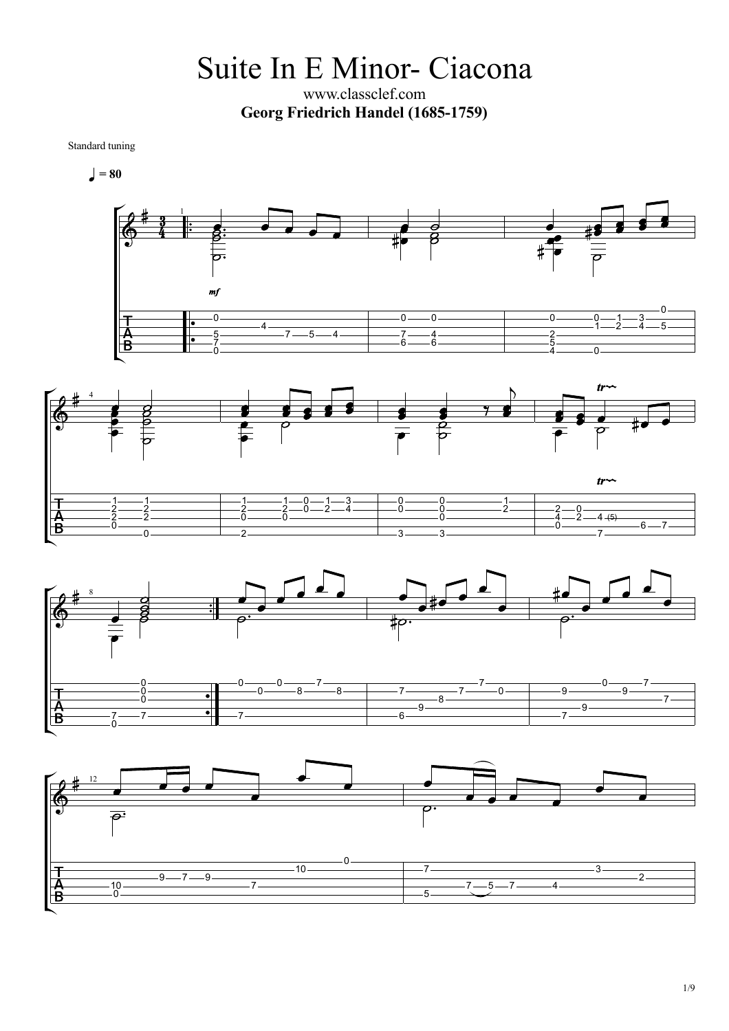Suite In E Minor- Ciacona

www.classclef.com **Georg Friedrich Handel (1685-1759)**

Standard tuning

 $\cancel{=}$  80

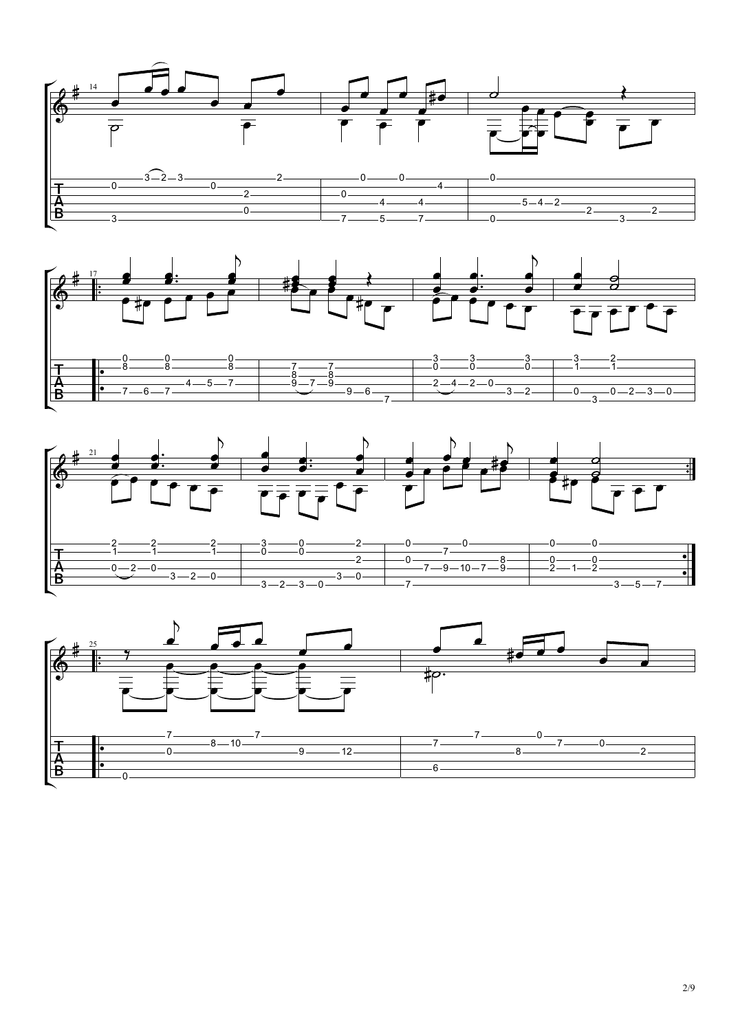





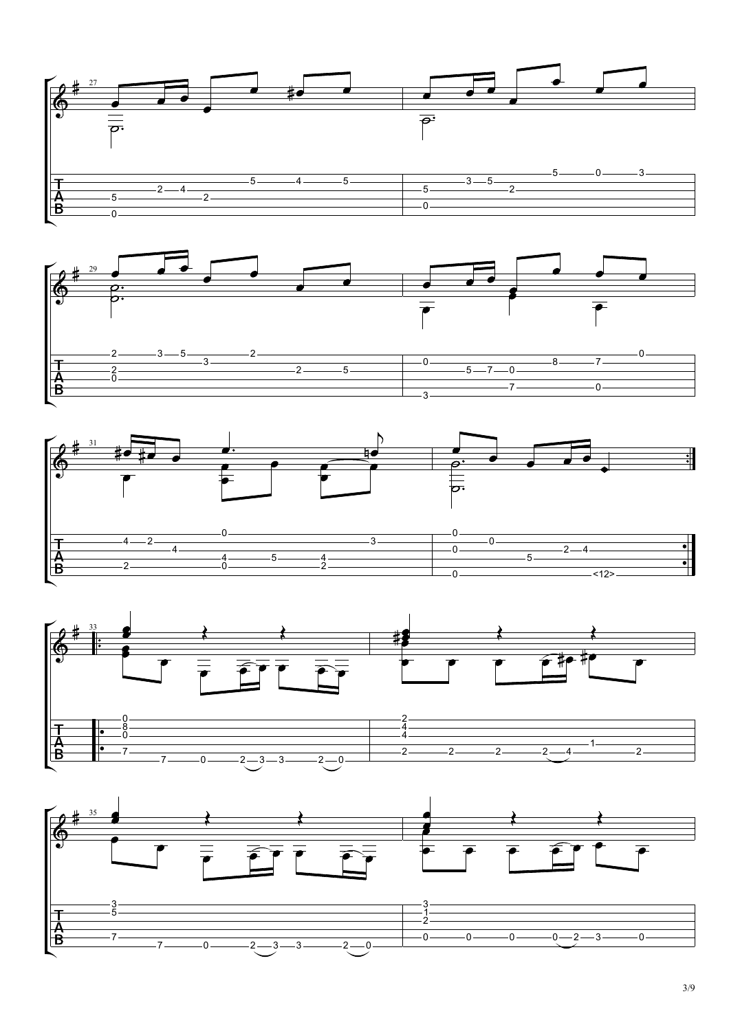







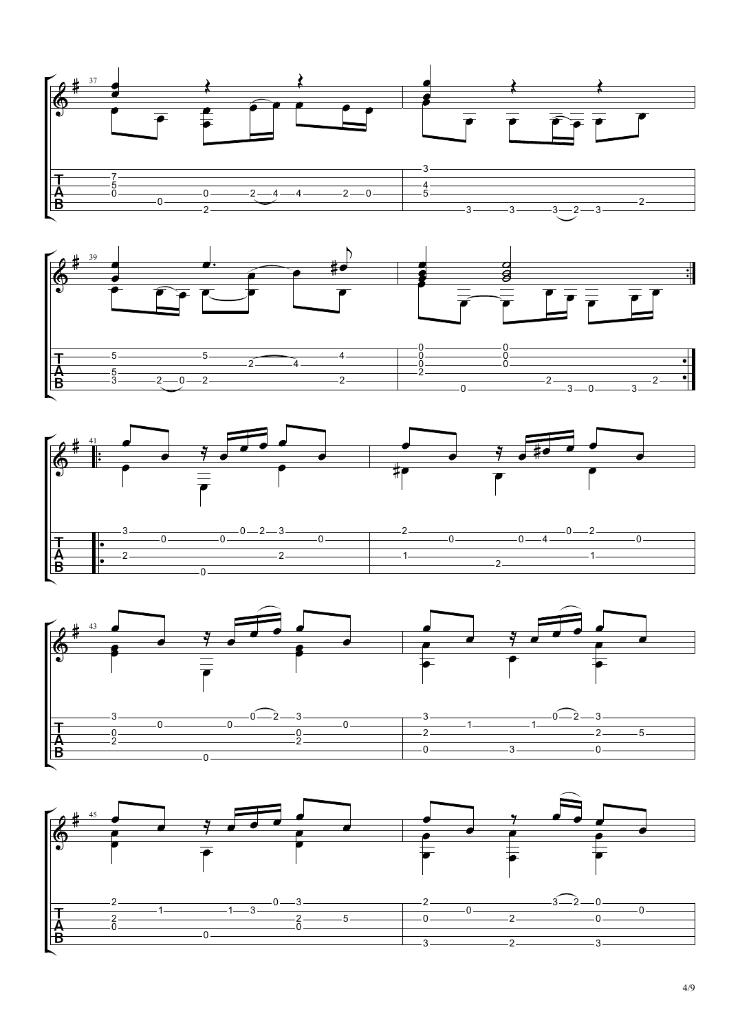







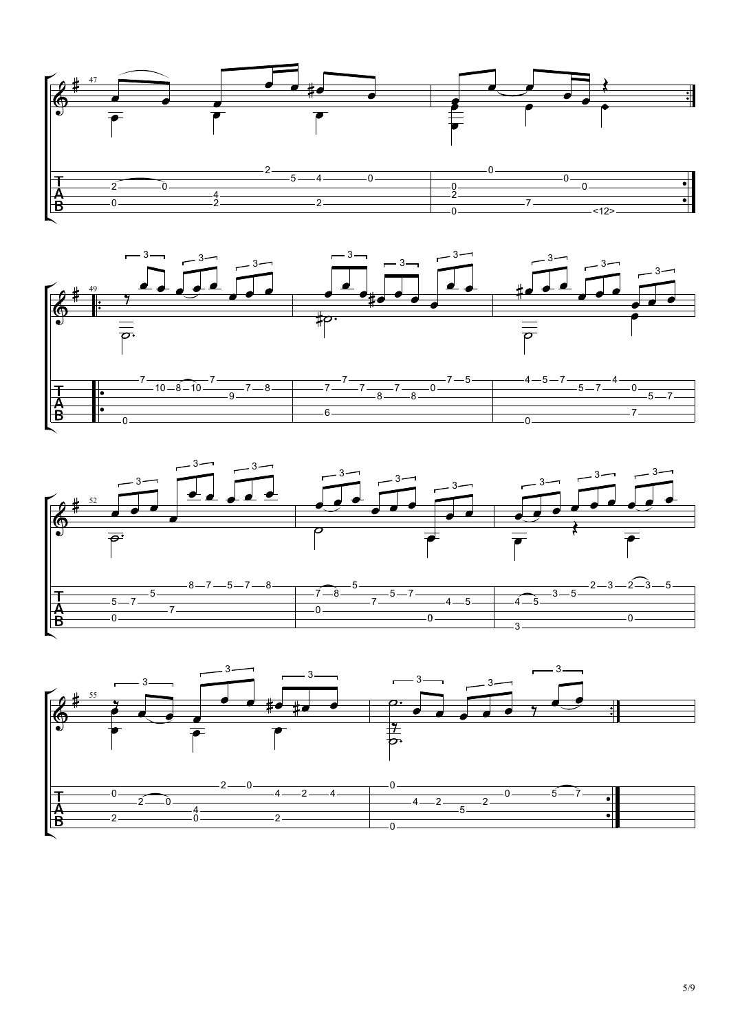





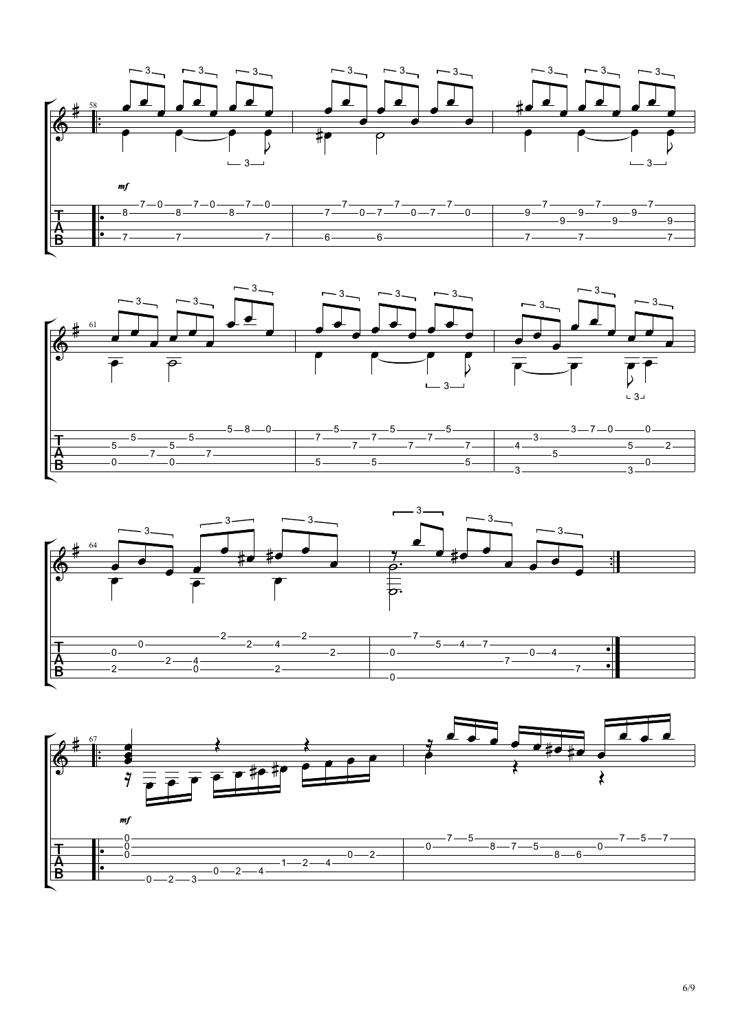







6/9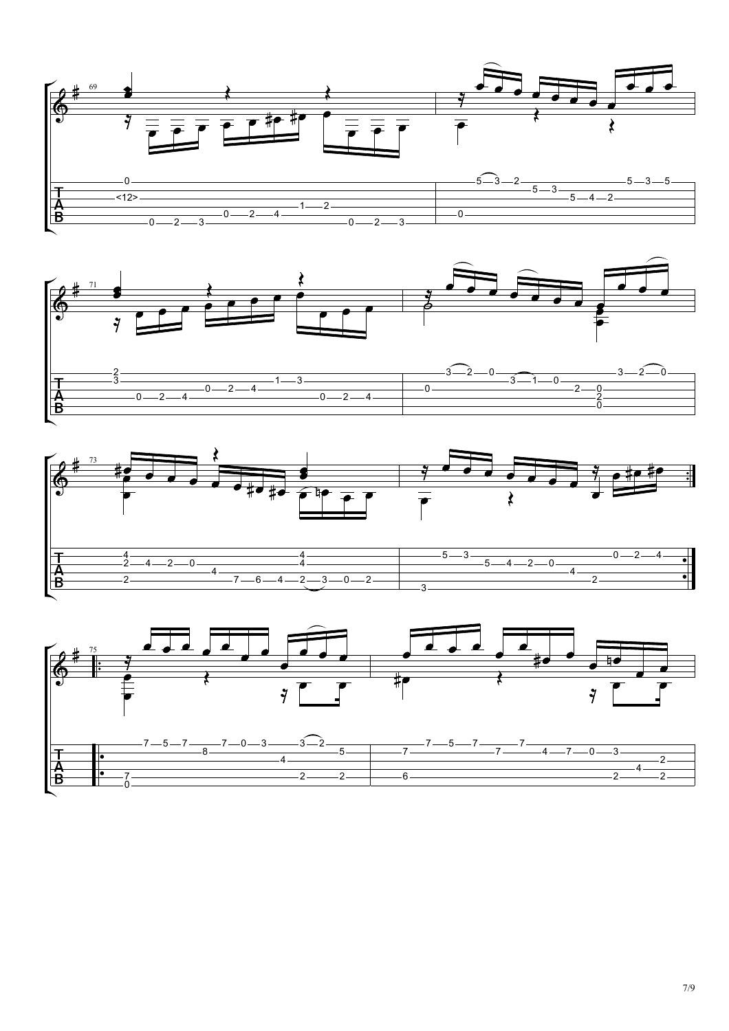





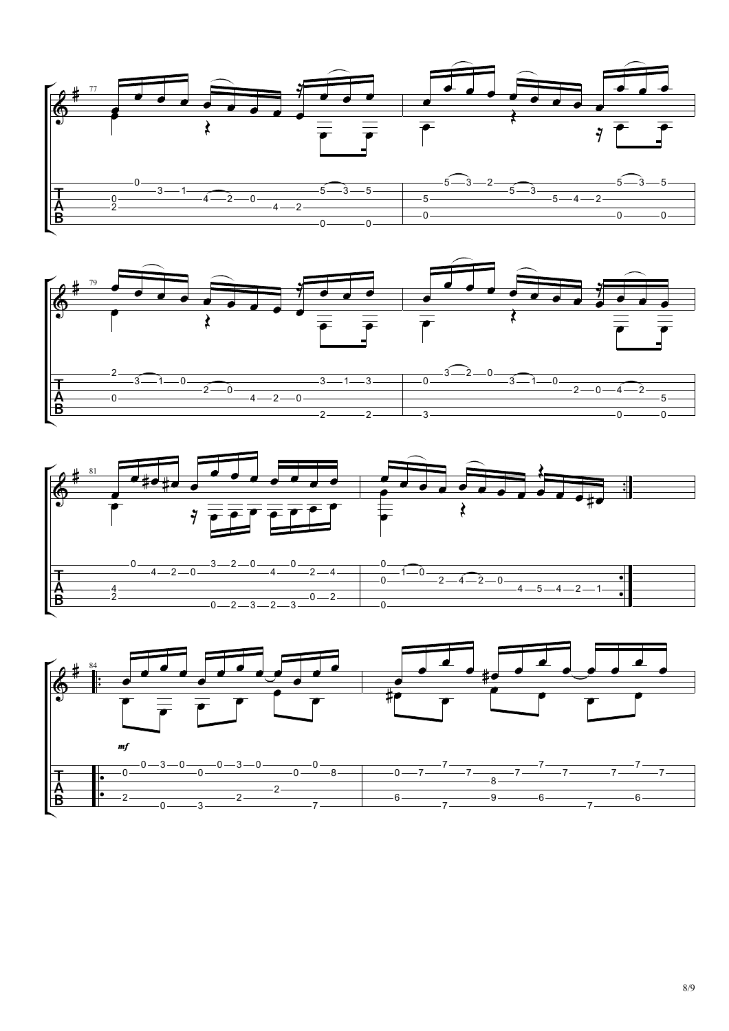